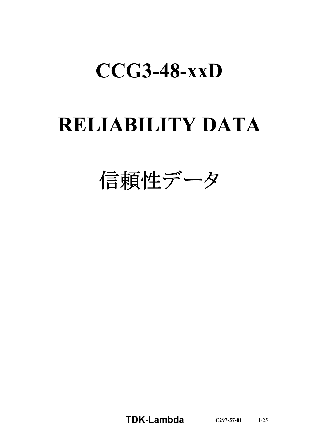# **CCG3-48-xxD**

# **RELIABILITY DATA**

信頼性データ

**TDK-Lambda C297-57-01** 1/25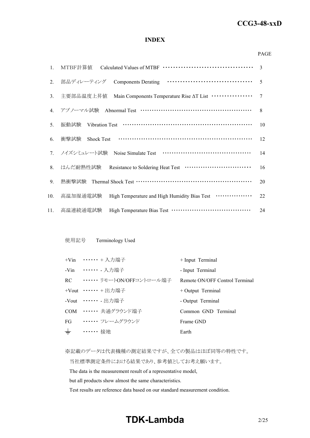#### *RWS 50B-600B Series* **CCG3-48-xxD**

### **INDEX**

#### PAGE

| $1_{\cdot}$ |                                                                                | 3              |
|-------------|--------------------------------------------------------------------------------|----------------|
| 2.          | 部品ディレーティング                                                                     | $\overline{5}$ |
| 3.          | Main Components Temperature Rise AT List ················<br>主要部品温度上昇值         | $\tau$         |
| 4.          | アブノーマル試験 Abnormal Test ……………………………………………                                       | 8              |
| 5.          | 振動試験                                                                           | 10             |
| 6.          | 衝撃試験<br><b>Shock Test</b>                                                      | 12             |
|             | 7. ノイズシミュレート試験                                                                 | 14             |
| 8.          | はんだ耐熱性試験 Resistance to Soldering Heat Test ·······························     | 16             |
| 9.          | 熱衝擊試験 Thermal Shock Test …………………………………………………                                   | 20             |
| 10.         | High Temperature and High Humidity Bias Test <b>··············</b><br>高温加湿通電試験 | 22             |
| 11.         | 高温連続通電試験                                                                       | 24             |

### 使用記号 Terminology Used

|       | +Vin ••••••• + 入力端子          | + Input Terminal               |
|-------|------------------------------|--------------------------------|
|       | -Vin ••••••• 入力端子            | - Input Terminal               |
|       | RC ······ リモートON/OFFコントロール端子 | Remote ON/OFF Control Terminal |
|       | +Vout $\cdots \cdots$ + 出力端子 | $+$ Output Terminal            |
|       | -Vout $\cdots \cdots$ - 出力端子 | - Output Terminal              |
|       | COM …… 共通グラウンド端子             | Common GND Terminal            |
| FG    | ・・・・・・・ フレームグラウンド            | Frame GND                      |
| $\pm$ | •••••• 接地                    | Earth                          |

※記載のデータは代表機種の測定結果ですが、全ての製品はほぼ同等の特性です。

当社標準測定条件における結果であり、参考値としてお考え願います。

The data is the measurement result of a representative model,

but all products show almost the same characteristics.

Test results are reference data based on our standard measurement condition.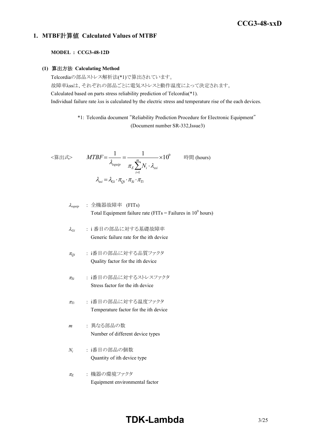### *RWS 50B-600B Series* **CCG3-48-xxD**

### **1. MTBF**計算値 **Calculated Values of MTBF**

#### **MODEL : CCG3-48-12D**

#### **(1)** 算出方法 **Calculating Method**

Telcordiaの部品ストレス解析法(\*1)で算出されています。 故障率λssは、それぞれの部品ごとに電気ストレスと動作温度によって決定されます。 Calculated based on parts stress reliability prediction of Telcordia(\*1). Individual failure rate λss is calculated by the electric stress and temperature rise of the each devices.

> \*1: Telcordia document "Reliability Prediction Procedure for Electronic Equipment" (Document number SR-332,Issue3)

$$
\langle \hat{\mathbf{g}} | \mathbf{H} \mathbf{x} \rangle \qquad MTBF = \frac{1}{\lambda_{equip}} = \frac{1}{\pi_E \sum_{i=1}^{m} N_i \cdot \lambda_{ssi}} \times 10^9 \qquad \text{iff } (\text{hours})
$$
\n
$$
\lambda_{ssi} = \lambda_{Gi} \cdot \pi_{Qi} \cdot \pi_{Si} \cdot \pi_{Ti}
$$

$$
\lambda_{\text{equip}} : \hat{\pm} \circledR \circledR \circledR \circledR
$$
\n
$$
\lambda_{\text{equip}}
$$
\n
$$
\therefore \hat{\pm} \circledR \circledR
$$
\n
$$
\text{Total Equipment failure rate (FITs = Failure in 109 hours)}
$$

- <sup>l</sup>*Gi* : i 番目の部品に対する基礎故障率 Generic failure rate for the ith device
- <sup>p</sup>*Qi* : i番目の部品に対する品質ファクタ Quality factor for the ith device
- <sup>p</sup>*Si* : i番目の部品に対するストレスファクタ Stress factor for the ith device
- <sup>p</sup>*Ti* : i番目の部品に対する温度ファクタ Temperature factor for the ith device
- *m* : 異なる部品の数 Number of different device types
- *Ni* : i番目の部品の個数 Quantity of ith device type
- <sup>p</sup>*<sup>E</sup>* : 機器の環境ファクタ Equipment environmental factor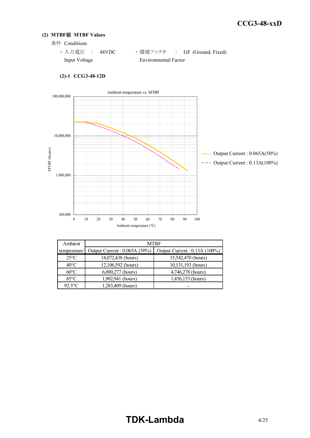### **(2) MTBF**値 **MTBF Values**

条件 Conditions

| ・ 入力電圧  : 48VDC |                      | ・環境ファクタ : GF (Ground, Fixed) |
|-----------------|----------------------|------------------------------|
| Input Voltage   | Environmental Factor |                              |



### **(2)-1 CCG3-48-12D**

| Ambient        | <b>MTBF</b>                  |                              |  |  |  |  |  |  |  |
|----------------|------------------------------|------------------------------|--|--|--|--|--|--|--|
| temperature    | Output Current: 0.065A (50%) | Output Current: 0.13A (100%) |  |  |  |  |  |  |  |
| $25^{\circ}$ C | 18,072,438 (hours)           | 15,542,470 (hours)           |  |  |  |  |  |  |  |
| $40^{\circ}$ C | 12,106,592 (hours)           | 10,131,193 (hours)           |  |  |  |  |  |  |  |
| $60^{\circ}$ C | 6,000,277 (hours)            | 4,746,278 (hours)            |  |  |  |  |  |  |  |
| $85^{\circ}$ C | 1,902,941 (hours)            | 1,456,153 (hours)            |  |  |  |  |  |  |  |
| $92.5$ °C      | 1,283,409 (hours)            |                              |  |  |  |  |  |  |  |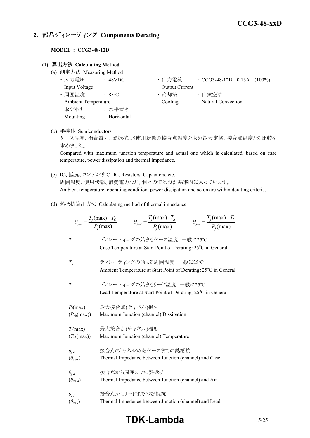### **2.** 部品ディレーティング **Components Derating**

### **MODEL : CCG3-48-12D**

### **(1)** 算出方法 **Calculating Method**

- (a) 測定方法 Measuring Method
	-
	-
	-
	- ・ 取り付け : 水平置き Mounting Horizontal
	- ・ 入力電圧 : 48VDC ・ 出力電流 : CCG3-48-12D 0.13A (100%) Input Voltage **Output Current**
	- 周囲温度 : 85°C · 哈却法 : 自然空冷 Ambient Temperature Cooling Natural Convection
- (b) 半導体 Semiconductors

ケース温度、消費電力、熱抵抗より使用状態の接合点温度を求め最大定格、接合点温度との比較を 求めました。

Compared with maximum junction temperature and actual one which is calculated based on case temperature, power dissipation and thermal impedance.

- (c) IC、抵抗、コンデンサ等 IC, Resistors, Capacitors, etc. 周囲温度、使用状態、消費電力など、個々の値は設計基準内に入っています。 Ambient temperature, operating condition, power dissipation and so on are within derating criteria.
- (d) 熱抵抗算出方法 Calculating method of thermal impedance

|                                     | $\theta_{j-l} = \frac{T_j(\text{max}) - T_l}{P_j(\text{max})}$<br>$\theta_{j-c} = \frac{T_j(\text{max}) - T_c}{P_i(\text{max})}$<br>$\theta_{j-a} = \frac{T_j(\text{max}) - T_a}{P_j(\text{max})}$ |
|-------------------------------------|----------------------------------------------------------------------------------------------------------------------------------------------------------------------------------------------------|
| $T_c$                               | : ディレーティングの始まるケース温度 一般に25℃<br>Case Temperature at Start Point of Derating; 25°C in General                                                                                                         |
| $T_a$                               | : ディレーティングの始まる周囲温度 一般に25℃<br>Ambient Temperature at Start Point of Derating; 25°C in General                                                                                                       |
| T <sub>i</sub>                      | : ディレーティングの始まるリード温度 一般に25°C<br>Lead Temperature at Start Point of Derating; 25 <sup>°</sup> C in General                                                                                           |
| $(P_{ch}(\text{max}))$              | $P_i$ (max) : 最大接合点(チャネル)損失<br>Maximum Junction (channel) Dissipation                                                                                                                              |
| $(T_{ch}(\text{max}))$              | $T_j$ (max) : 最大接合点(チャネル)温度<br>Maximum Junction (channel) Temperature                                                                                                                              |
| $\theta_{j-c}$<br>$(\theta_{ch-c})$ | : 接合点(チャネル)からケースまでの熱抵抗<br>Thermal Impedance between Junction (channel) and Case                                                                                                                    |
| $\theta_{i-a}$<br>$(\theta_{ch-a})$ | : 接合点から周囲までの熱抵抗<br>Thermal Impedance between Junction (channel) and Air                                                                                                                            |
| $\theta_{i-l}$<br>$(\theta_{ch-l})$ | : 接合点からリードまでの熱抵抗<br>Thermal Impedance between Junction (channel) and Lead                                                                                                                          |

## **TDK-Lambda** 5/25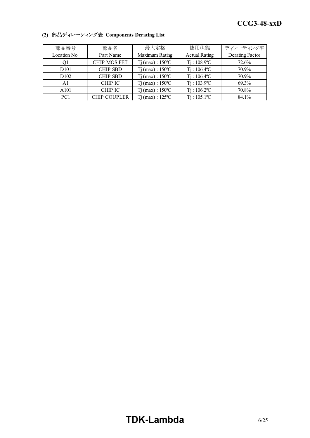| 部品番号             | 部品名                 | 最大定格                         | 使用状態                       | ディレーティング率       |
|------------------|---------------------|------------------------------|----------------------------|-----------------|
| Location No.     | Part Name           | Maximum Rating               | <b>Actual Rating</b>       | Derating Factor |
| Q1               | <b>CHIP MOS FET</b> | $Tj$ (max) : 150 °C          | $T_1$ : 108.9°C            | 72.6%           |
| D <sub>101</sub> | <b>CHIP SBD</b>     | $Tj$ (max) : 150 °C          | $Ti: 106.4$ <sup>o</sup> C | 70.9%           |
| D <sub>102</sub> | <b>CHIP SBD</b>     | $Ti$ (max) : $150^{\circ}$ C | $Ti: 106.4$ <sup>o</sup> C | 70.9%           |
| A1               | <b>CHIP IC</b>      | $Ti$ (max) : $150^{\circ}$ C | $Ti: 103.9^{\circ}C$       | 69.3%           |
| A101             | <b>CHIP IC</b>      | $Tj(max): 150^{\circ}C$      | $Ti: 106.2$ <sup>o</sup> C | 70.8%           |
| PC <sub>1</sub>  | <b>CHIP COUPLER</b> | $Tj$ (max) : 125 °C          | $Ti: 105.1$ <sup>o</sup> C | 84.1%           |

### **(2)** 部品ディレーティング表 **Components Derating List**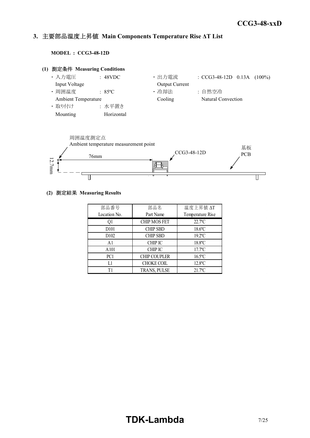#### *INSTRUCTION MANUAL* **3.** 主要部品温度上昇値 **Main Components Temperature Rise ΔT List**

**MODEL : CCG3-48-12D**





### **(2)** 測定結果 **Measuring Results**

| 部品番号              | 部品名                 | 温度上昇值 ΔT              |
|-------------------|---------------------|-----------------------|
| Location No.      | Part Name           | Temperature Rise      |
| Ql                | <b>CHIP MOS FET</b> | $22.7$ °C             |
| D <sub>10</sub> 1 | <b>CHIP SBD</b>     | $18.6$ °C             |
| D <sub>102</sub>  | <b>CHIP SBD</b>     | $19.2$ <sup>o</sup> C |
| A <sub>1</sub>    | <b>CHIP IC</b>      | 18.8°C                |
| A101              | <b>CHIP IC</b>      | $17.7$ °C             |
| PC <sub>1</sub>   | <b>CHIP COUPLER</b> | $16.5$ °C             |
| Ll                | <b>CHOKE COIL</b>   | $12.8$ °C             |
| T1                | TRANS, PULSE        | $21.7$ <sup>o</sup> C |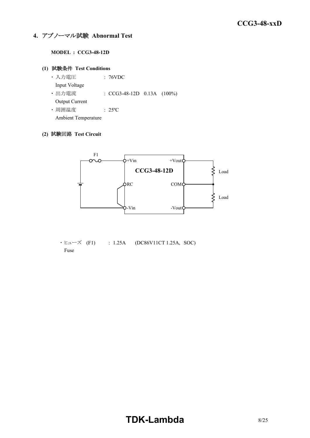### **4.** アブノーマル試験 **Abnormal Test**

### **MODEL : CCG3-48-12D**

### **(1)** 試験条件 **Test Conditions**

・ 入力電圧 : 76VDC Input Voltage ・ 出力電流 : CCG3-48-12D 0.13A (100%) Output Current ・ 周囲温度 : 25ºC

Ambient Temperature

### **(2)** 試験回路 **Test Circuit**



・ ヒューズ (F1) : 1.25A (DC86V11CT 1.25A, SOC) Fuse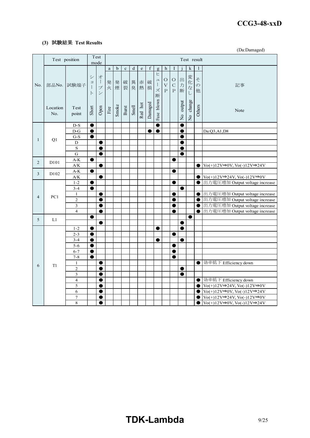#### *RWS 50B-600B Series* **CCG3-48-xxD**

### **(3)** 試験結果 **Test Results**

(Da:Damaged)

|                | Test position     |                                    |                                           | Test<br>mode                                                   | Test result           |             |             |         |                                                                                |             |                                                           |                                                   |                                              |                         |                       |                         |                                                                                                                         |  |
|----------------|-------------------|------------------------------------|-------------------------------------------|----------------------------------------------------------------|-----------------------|-------------|-------------|---------|--------------------------------------------------------------------------------|-------------|-----------------------------------------------------------|---------------------------------------------------|----------------------------------------------|-------------------------|-----------------------|-------------------------|-------------------------------------------------------------------------------------------------------------------------|--|
|                |                   |                                    |                                           |                                                                | $\rm{a}$              | $\mathbf b$ | $\mathbf c$ | $\rm d$ | $\mathbf{e}% _{B}=\mathbf{e}_{B}+\mathbf{e}_{B}+\mathbf{e}_{B}+\mathbf{e}_{B}$ | $\mathbf f$ | g                                                         | $\,$ h                                            | I                                            |                         | k                     | 1                       |                                                                                                                         |  |
| No.            |                   | 部品No. 試験端子                         | シ<br>$\equiv$<br>$\mathbf{I}$<br>$\vdash$ | 才<br>$\overline{\phantom{a}}$<br>$\mathcal{I}$<br>$\checkmark$ | 発<br>火                | 発<br>煙      | 破<br>裂      | 異<br>臭  | 赤<br>熱                                                                         | 破<br>損      | E<br>그<br>$\begin{array}{c} \hline \end{array}$<br>ズ<br>断 | $\circ$<br>$\overline{\mathbf{V}}$<br>$\mathbf P$ | $\bigcirc$<br>$\mathsf{C}$<br>$\overline{P}$ | 出<br>力<br>断             | 変化な<br>$\overline{L}$ | そ<br>$\mathcal{O}$<br>他 | 記事                                                                                                                      |  |
|                | Location<br>No.   | Test<br>point                      | Short                                     | Open                                                           | $\operatorname{Fire}$ | Smoke       | Burst       | Smell   | Red hot                                                                        | Damaged     | Fuse blown                                                |                                                   |                                              | output<br>$\frac{1}{2}$ | No change             | Others                  | Note                                                                                                                    |  |
|                |                   | $D-S$                              | ●                                         |                                                                |                       |             |             |         |                                                                                |             | $\bullet$                                                 |                                                   |                                              | C                       |                       |                         |                                                                                                                         |  |
|                |                   | $D-G$                              | $\bullet$                                 |                                                                |                       |             |             |         |                                                                                | ●           | $\bullet$                                                 |                                                   |                                              | e                       |                       |                         | Da:Q3,A1,D8                                                                                                             |  |
| $\mathbf{1}$   | Q1                | $G-S$                              | $\bullet$                                 |                                                                |                       |             |             |         |                                                                                |             |                                                           |                                                   |                                              | C                       |                       |                         |                                                                                                                         |  |
|                |                   | $\mathbf D$                        |                                           | ●                                                              |                       |             |             |         |                                                                                |             |                                                           |                                                   |                                              | 0                       |                       |                         |                                                                                                                         |  |
|                |                   | S                                  |                                           |                                                                |                       |             |             |         |                                                                                |             |                                                           |                                                   |                                              |                         |                       |                         |                                                                                                                         |  |
|                |                   | $\mathbf G$                        |                                           | $\bullet$                                                      |                       |             |             |         |                                                                                |             |                                                           |                                                   |                                              | e                       |                       |                         |                                                                                                                         |  |
| $\overline{2}$ | D <sub>10</sub> 1 | $\mathbf{A}\text{-}\mathbf{K}$     |                                           |                                                                |                       |             |             |         |                                                                                |             |                                                           |                                                   | e                                            |                         |                       |                         |                                                                                                                         |  |
|                |                   | $\mathbf{A} / \mathbf{K}$          |                                           | ●                                                              |                       |             |             |         |                                                                                |             |                                                           |                                                   | ●                                            |                         |                       | $\bullet$               | $\text{Vo}(+)12\text{V}\rightarrow 0\text{V}, \text{Vo}(-)12\text{V}\rightarrow 24\text{V}$                             |  |
| 3              | D <sub>102</sub>  | $A-K$<br>$\mathbf{A} / \mathbf{K}$ | $\bullet$                                 |                                                                |                       |             |             |         |                                                                                |             |                                                           |                                                   |                                              |                         |                       | $\bullet$               | $\operatorname{Vo}(+)12\mathrm{V}\rightarrow 24\mathrm{V}, \operatorname{Vo}(\cdot)12\mathrm{V}\rightarrow 0\mathrm{V}$ |  |
|                |                   | $1 - 2$                            | $\bullet$                                 |                                                                |                       |             |             |         |                                                                                |             |                                                           |                                                   | ●                                            |                         |                       | 0                       | 出力電圧増加 Output voltage increase                                                                                          |  |
|                |                   | $3 - 4$                            | $\bullet$                                 |                                                                |                       |             |             |         |                                                                                |             |                                                           |                                                   |                                              | $\bullet$               |                       |                         |                                                                                                                         |  |
|                |                   | $\mathbf{1}$                       |                                           |                                                                |                       |             |             |         |                                                                                |             |                                                           |                                                   |                                              |                         |                       | ●                       | 出力電圧増加 Output voltage increase                                                                                          |  |
| $\overline{4}$ | PC1               | $\overline{2}$                     |                                           | 0                                                              |                       |             |             |         |                                                                                |             |                                                           |                                                   |                                              |                         |                       | 0                       | 出力電圧増加 Output voltage increase                                                                                          |  |
|                |                   | 3                                  |                                           | ●                                                              |                       |             |             |         |                                                                                |             |                                                           |                                                   | ●                                            |                         |                       | $\bullet$               | 出力電圧増加 Output voltage increase                                                                                          |  |
|                |                   | $\overline{4}$                     |                                           | $\bullet$                                                      |                       |             |             |         |                                                                                |             |                                                           |                                                   | $\bullet$                                    |                         |                       | $\bullet$               | 出力電圧増加 Output voltage increase                                                                                          |  |
| 5              | L1                |                                    |                                           |                                                                |                       |             |             |         |                                                                                |             |                                                           |                                                   |                                              |                         | $\bullet$             |                         |                                                                                                                         |  |
|                |                   |                                    |                                           |                                                                |                       |             |             |         |                                                                                |             |                                                           |                                                   |                                              | ●                       |                       |                         |                                                                                                                         |  |
|                |                   | $1 - 2$                            | $\bullet$                                 |                                                                |                       |             |             |         |                                                                                |             | $\bullet$                                                 |                                                   |                                              | $\bullet$               |                       |                         |                                                                                                                         |  |
|                |                   | $2 - 3$                            |                                           |                                                                |                       |             |             |         |                                                                                |             |                                                           |                                                   | 0                                            |                         |                       |                         |                                                                                                                         |  |
|                |                   | $3 - 4$                            | 0                                         |                                                                |                       |             |             |         |                                                                                |             |                                                           |                                                   |                                              | Œ                       |                       |                         |                                                                                                                         |  |
|                |                   | $5 - 6$                            | $\bullet$                                 |                                                                |                       |             |             |         |                                                                                |             |                                                           |                                                   | ●                                            |                         |                       |                         |                                                                                                                         |  |
|                |                   | $6 - 7$                            | $\bullet$                                 |                                                                |                       |             |             |         |                                                                                |             |                                                           |                                                   | 0                                            |                         |                       |                         |                                                                                                                         |  |
|                |                   | $7 - 8$                            | $\bullet$                                 |                                                                |                       |             |             |         |                                                                                |             |                                                           |                                                   | œ                                            |                         |                       |                         |                                                                                                                         |  |
| 6              | T <sub>1</sub>    | $\mathbf{1}$                       |                                           |                                                                |                       |             |             |         |                                                                                |             |                                                           |                                                   |                                              |                         |                       | $\bullet$               | 効率低下 Efficiency down                                                                                                    |  |
|                |                   | $\overline{c}$<br>3                |                                           | $\bullet$                                                      |                       |             |             |         |                                                                                |             |                                                           |                                                   |                                              | C<br>e                  |                       |                         |                                                                                                                         |  |
|                |                   | $\overline{4}$                     |                                           | ●                                                              |                       |             |             |         |                                                                                |             |                                                           |                                                   |                                              |                         |                       | $\bullet$               | 効率低下 Efficiency down                                                                                                    |  |
|                |                   | 5                                  |                                           | $\bullet$                                                      |                       |             |             |         |                                                                                |             |                                                           |                                                   |                                              |                         |                       | $\bullet$               | $\text{Vo}(+)12\text{V}\rightarrow 24\text{V}, \text{Vo}(-)12\text{V}\rightarrow 0\text{V}$                             |  |
|                |                   | 6                                  |                                           | $\bullet$                                                      |                       |             |             |         |                                                                                |             |                                                           |                                                   |                                              |                         |                       | $\bullet$               | $\operatorname{Vo}(+)12\mathrm{V}\rightarrow 0\mathrm{V}, \operatorname{Vo}(\cdot)12\mathrm{V}\rightarrow 24\mathrm{V}$ |  |
|                |                   | $\overline{7}$                     |                                           |                                                                |                       |             |             |         |                                                                                |             |                                                           |                                                   |                                              |                         |                       | ●                       | $\operatorname{Vo}(+)12\mathrm{V}\rightarrow 24\mathrm{V}, \operatorname{Vo}(\cdot)12\mathrm{V}\rightarrow 0\mathrm{V}$ |  |
|                |                   | $\,8\,$                            |                                           | $\bullet$                                                      |                       |             |             |         |                                                                                |             |                                                           |                                                   |                                              |                         |                       | $\bullet$               | $\text{Vo}(+)12\text{V}\rightarrow 0\text{V}, \text{Vo}(-)12\text{V}\rightarrow 24\text{V}$                             |  |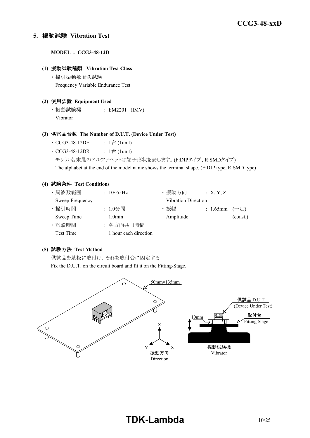### **5.** 振動試験 **Vibration Test**

**MODEL : CCG3-48-12D**

### **(1)** 振動試験種類 **Vibration Test Class**

・ 掃引振動数耐久試験 Frequency Variable Endurance Test

### **(2)** 使用装置 **Equipment Used**

・ 振動試験機 : EM2201 (IMV) Vibrator

### **(3)** 供試品台数 **The Number of D.U.T. (Device Under Test)**

- CCG3-48-12DF :  $1 \oplus (1$ unit)
- $CCG3-48-12DR$  :  $1 \triangleq$  (1unit)
	- モデル名末尾のアルファベットは端子形状を表します。(F:DIPタイプ、R:SMDタイプ)

The alphabet at the end of the model name shows the terminal shape. (F:DIP type, R:SMD type)

### **(4)** 試験条件 **Test Conditions**

| ・周波数範囲          | : $10 - 55$ Hz        | ・振動方向                      | : X, Y, Z         |          |
|-----------------|-----------------------|----------------------------|-------------------|----------|
| Sweep Frequency |                       | <b>Vibration Direction</b> |                   |          |
| · 掃引時間          | : 1.0分間               | ・振幅                        | : 1.65mm $(-\pm)$ |          |
| Sweep Time      | $1.0$ min             | Amplitude                  |                   | (const.) |
| · 試験時間          | : 各方向共 1時間            |                            |                   |          |
| Test Time       | 1 hour each direction |                            |                   |          |

### **(5)** 試験方法 **Test Method**

供試品を基板に取付け、それを取付台に固定する。

Fix the D.U.T. on the circuit board and fit it on the Fitting-Stage.

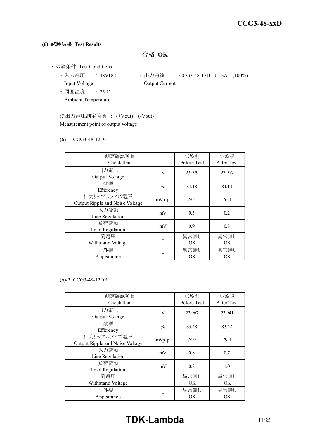### **(6)** 試験結果 **Test Results**

合格 **OK**

- ・ 試験条件 Test Conditions
	- Input Voltage **Output Current**
	- ・ 周囲温度 : 25ºC Ambient Temperature
	- 入力電圧 : 48VDC 出力電流 : CCG3-48-12D 0.13A (100%)
	- ※出力電圧測定箇所 : (+Vout) (-Vout) Measurement point of output voltage

### (6)-1 CCG3-48-12DF

| 測定確認項目<br>Check Item                           |               | 試験前<br><b>Before Test</b> | 試験後<br>After Test |
|------------------------------------------------|---------------|---------------------------|-------------------|
| 出力電圧<br>Output Voltage                         | V             | 23.979                    | 23.977            |
| 効率<br>Efficiency                               | $\frac{0}{0}$ | 84.18                     | 84.14             |
| 出力リップルノイズ電圧<br>Output Ripple and Noise Voltage | $mVp-p$       | 78.4                      | 76.4              |
| 入力変動<br>Line Regulation                        | mV            | 0.5                       | 0.2               |
| 負荷変動<br>Load Regulation                        | mV            | 0.9                       | 0.8               |
| 耐雷圧<br>Withstand Voltage                       |               | 異常無し<br>OK.               | 異常無し<br><b>OK</b> |
| 外観<br>Appearance                               |               | 異常無し<br><b>OK</b>         | 異常無し<br>ОK        |

### (6)-2 CCG3-48-12DR

| 測定確認項目<br>Check Item                           |               | 試験前<br><b>Before Test</b> | 試験後<br>After Test |
|------------------------------------------------|---------------|---------------------------|-------------------|
| 出力電圧<br>Output Voltage                         | V             | 23.967                    | 23.941            |
| 効率<br>Efficiency                               | $\frac{0}{0}$ | 83.48                     | 83.42             |
| 出力リップルノイズ電圧<br>Output Ripple and Noise Voltage | $mVp-p$       | 78.9                      | 79.4              |
| 入力変動<br>Line Regulation                        | mV            | 0.8                       | 0.7               |
| 負荷変動<br>Load Regulation                        | mV            | 0.8                       | 1.0               |
| 耐雷圧<br>Withstand Voltage                       |               | 異常無し<br>OK                | 異常無し<br>OK.       |
| 外観<br>Appearance                               |               | 異常無し<br>OK                | 異常無し<br><b>OK</b> |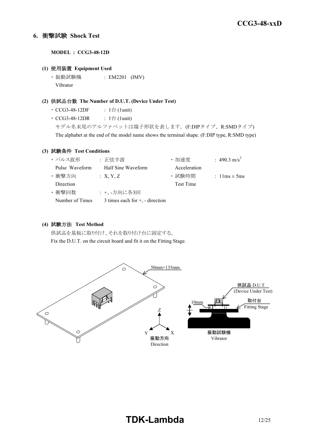### **6.** 衝撃試験 **Shock Test**

**MODEL : CCG3-48-12D**

### **(1)** 使用装置 **Equipment Used**

・ 振動試験機 : EM2201 (IMV) Vibrator

### **(2)** 供試品台数 **The Number of D.U.T. (Device Under Test)**

- $\cdot$  CCG3-48-12DF : 1台 (1unit)
- CCG3-48-12DR :  $1 \oplus (1$ unit)

モデル名末尾のアルファベットは端子形状を表します。(F:DIPタイプ、R:SMDタイプ) The alphabet at the end of the model name shows the terminal shape. (F:DIP type, R:SMD type)

### **(3)** 試験条件 **Test Conditions**

| ・パルス波形          | : 正弦半波                               | ・加速度         | : 490.3 m/s <sup>2</sup>         |
|-----------------|--------------------------------------|--------------|----------------------------------|
| Pulse Waveform  | Half Sine Waveform                   | Acceleration |                                  |
| ・衝撃方向           | : X, Y, Z                            | · 試験時間       | : $1 \text{lms} \pm 5 \text{ms}$ |
| Direction       |                                      | Test Time    |                                  |
| ・衝撃回数           | : +、-方向に各3回                          |              |                                  |
| Number of Times | 3 times each for $+$ , $-$ direction |              |                                  |

### **(4)** 試験方法 **Test Method**

供試品を基板に取り付け、それを取り付け台に固定する。 Fix the D.U.T. on the circuit board and fit it on the Fitting Stage.

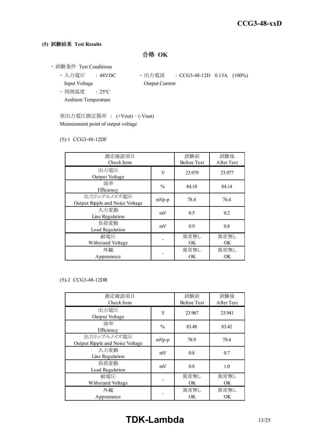### **(5)** 試験結果 **Test Results**

合格 **OK**

- ・ 試験条件 Test Conditions
	- Input Voltage **Output Current**
	- ・ 周囲温度 : 25ºC Ambient Temperature
	- 入力電圧 : 48VDC 出力電流 : CCG3-48-12D 0.13A (100%)
	- ※出力電圧測定箇所 : (+Vout) (-Vout) Measurement point of output voltage

### (5)-1 CCG3-48-12DF

| 測定確認項目<br>Check Item                           |               | 試験前<br><b>Before Test</b> | 試験後<br>After Test |
|------------------------------------------------|---------------|---------------------------|-------------------|
| 出力電圧<br>Output Voltage                         | V             | 23.979                    | 23.977            |
| 効率<br>Efficiency                               | $\frac{0}{0}$ | 84.18                     | 84.14             |
| 出力リップルノイズ電圧<br>Output Ripple and Noise Voltage | $mVp-p$       | 78.4                      | 76.4              |
| 入力変動<br>Line Regulation                        | mV            | 0.5                       | 0.2               |
| 負荷変動<br>Load Regulation                        | mV            | 0.9                       | 0.8               |
| 耐雷圧<br>Withstand Voltage                       |               | 異常無し<br>OK.               | 異常無し<br><b>OK</b> |
| 外観<br>Appearance                               |               | 異常無し<br>OK                | 異常無し<br>ОK        |

### (5)-2 CCG3-48-12DR

| 測定確認項目<br>Check Item                           |               | 試験前<br><b>Before Test</b> | 試験後<br>After Test |
|------------------------------------------------|---------------|---------------------------|-------------------|
| 出力電圧<br>Output Voltage                         | V             | 23.967                    | 23.941            |
| 効率<br>Efficiency                               | $\frac{0}{0}$ | 83.48                     | 83.42             |
| 出力リップルノイズ電圧<br>Output Ripple and Noise Voltage | $mVp-p$       | 78.9                      | 79.4              |
| 入力変動<br>Line Regulation                        | mV            | 0.8                       | 0.7               |
| 負荷変動<br>Load Regulation                        | mV            | 0.8                       | 1.0               |
| 耐雷圧<br>Withstand Voltage                       |               | 異常無し<br>OK                | 異常無し<br>OK.       |
| 外観<br>Appearance                               |               | 異常無し<br>OK                | 異常無し<br><b>OK</b> |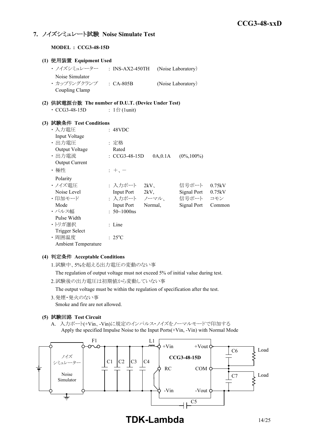### **7.** ノイズシミュレート試験 **Noise Simulate Test**

**MODEL : CCG3-48-15D**

| (1) 使用装置 Equipment Used                             |                              |                     |                    |        |
|-----------------------------------------------------|------------------------------|---------------------|--------------------|--------|
| ・ ノイズシミュレーター ___: INS-AX2-450TH                     |                              |                     | (Noise Laboratory) |        |
| Noise Simulator                                     |                              |                     |                    |        |
| · カップリングクランプ : CA-805B                              |                              |                     | (Noise Laboratory) |        |
| Coupling Clamp                                      |                              |                     |                    |        |
| (2) 供試電源台数 The number of D.U.T. (Device Under Test) |                              |                     |                    |        |
| $\cdot$ CCG3-48-15D                                 | : $1 \oplus (1 \text{unit})$ |                     |                    |        |
| (3) 試験条件 Test Conditions                            |                              |                     |                    |        |
| ・入力電圧                                               | : 48VDC                      |                     |                    |        |
| Input Voltage                                       |                              |                     |                    |        |
| ・出力電圧                                               | : 定格                         |                     |                    |        |
| Output Voltage                                      | Rated                        |                     |                    |        |
| ・出力電流                                               | : CCG3-48-15D                | 0A, 0.1A            | $(0\%, 100\%)$     |        |
| <b>Output Current</b>                               |                              |                     |                    |        |
| ・極性                                                 | $+$ , $-$                    |                     |                    |        |
| Polarity                                            |                              |                     |                    |        |
| ・ノイズ電圧                                              |                              | : 入力ポート 2kV、        | 信号ポート              | 0.75kV |
| Noise Level                                         | Input Port 2kV,              |                     | <b>Signal Port</b> | 0.75kV |
| ・印加モード                                              |                              | : 入力ポート ノーマル、 信号ポート |                    | コモン    |
| Mode                                                | <b>Input Port</b>            | Normal,             | Signal Port        | Common |
| ・パルス幅                                               | $: 50 - 1000$ ns             |                     |                    |        |
| Pulse Width                                         |                              |                     |                    |        |
| ・トリガ選択                                              | : Line                       |                     |                    |        |
| <b>Trigger Select</b>                               |                              |                     |                    |        |
| · 周囲温度                                              | $: 25^{\circ}C$              |                     |                    |        |

Ambient Temperature

### **(4)** 判定条件 **Acceptable Conditions**

1.試験中、5%を超える出力電圧の変動のない事

The regulation of output voltage must not exceed 5% of initial value during test.

2.試験後の出力電圧は初期値から変動していない事

The output voltage must be within the regulation of specification after the test.

3.発煙・発火のない事

Smoke and fire are not allowed.

### **(5)** 試験回路 **Test Circuit**

A. 入力ポート(+Vin、-Vin)に規定のインパルス・ノイズをノーマルモードで印加する Apply the specified Impulse Noise to the Input Ports(+Vin, -Vin) with Normal Mode

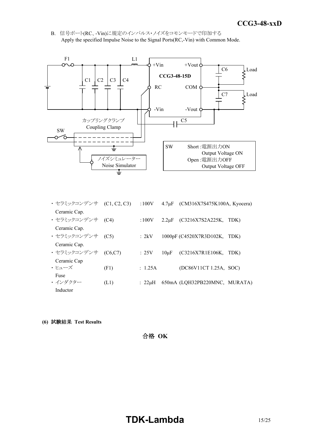*INSTRUCTION MANUAL* B. 信号ポート(RC、-Vin)に規定のインパルス・ノイズをコモンモードで印加する Apply the specified Impulse Noise to the Signal Ports(RC,-Vin) with Common Mode.



| ・セラミックコンデンサ (C1, C2, C3) |          | :100V        |           | $4.7\mu$ F (CM316X7S475K100A, Kyocera) |      |
|--------------------------|----------|--------------|-----------|----------------------------------------|------|
| Ceramic Cap.             |          |              |           |                                        |      |
| ・セラミックコンデンサ (C4)         |          | :100V        |           | $2.2 \mu F$ (C3216X7S2A225K,           | TDK) |
| Ceramic Cap.             |          |              |           |                                        |      |
| ・セラミックコンデンサ (C5)         |          | : 2kV        |           | 1000pF (C4520X7R3D102K, TDK)           |      |
| Ceramic Cap.             |          |              |           |                                        |      |
| ・ セラミックコンデンサ             | (C6, C7) | :25V         | $10\mu F$ | (C3216X7R1E106K,                       | TDK) |
| Ceramic Cap              |          |              |           |                                        |      |
| ・ヒューズ                    | (F1)     | : 1.25A      |           | (DC86V11CT 1.25A, SOC)                 |      |
| Fuse                     |          |              |           |                                        |      |
| ・インダクター                  | (L1)     | $: 22 \mu H$ |           | 650mA (LQH32PB220MNC, MURATA)          |      |
| Inductor                 |          |              |           |                                        |      |

**(6)** 試験結果 **Test Results**

合格 **OK**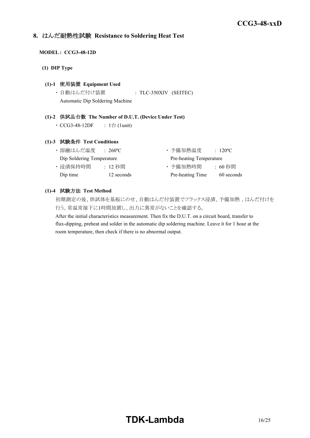### **8.** はんだ耐熱性試験 **Resistance to Soldering Heat Test**

### **MODEL : CCG3-48-12D**

**(1) DIP Type**

### **(1)-1** 使用装置 **Equipment Used**

・ 自動はんだ付け装置 : TLC-350XIV (SEITEC) Automatic Dip Soldering Machine

### **(1)-2** 供試品台数 **The Number of D.U.T. (Device Under Test)**

•  $CCG3-48-12DF$  :  $1$   $\oplus$  (1unit)

### **(1)-3** 試験条件 **Test Conditions**

| ・溶融はんだ温度                  | $\div 260^{\circ}$ C | ・予備加熱温度                 | $\div$ 120 <sup>o</sup> C |
|---------------------------|----------------------|-------------------------|---------------------------|
| Dip Soldering Temperature |                      | Pre-heating Temperature |                           |
| ・浸漬保持時間                   | : 12 秒間              | ・予備加熱時間                 | : 60 秒間                   |
| Dip time                  | 12 seconds           | Pre-heating Time        | 60 seconds                |

### **(1)-4** 試験方法 **Test Method**

初期測定の後、供試体を基板にのせ、自動はんだ付装置でフラックス浸漬、予備加熱 、はんだ付けを 行う。常温常湿下に1時間放置し、出力に異常がないことを確認する。

After the initial characteristics measurement. Then fix the D.U.T. on a circuit board, transfer to flux-dipping, preheat and solder in the automatic dip soldering machine. Leave it for 1 hour at the room temperature, then check if there is no abnormal output.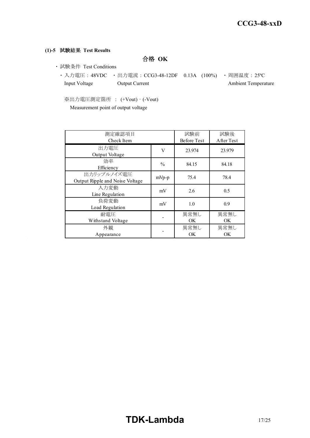### **(1)-5** 試験結果 **Test Results**

合格 **OK**

- ・ 試験条件 Test Conditions
	- 入力電圧 : 48VDC 出力電流 : CCG3-48-12DF 0.13A (100%) 周囲温度 : 25℃ Input Voltage Output Current Ambient Temperature

※出力電圧測定箇所 : (+Vout) – (-Vout) Measurement point of output voltage

| 測定確認項目<br>Check Item                           |               | 試験前<br><b>Before Test</b> | 試験後<br>After Test |
|------------------------------------------------|---------------|---------------------------|-------------------|
| 出力電圧<br>Output Voltage                         | V             | 23.974                    | 23.979            |
| 効率<br>Efficiency                               | $\frac{0}{0}$ | 84.15                     | 84.18             |
| 出力リップルノイズ電圧<br>Output Ripple and Noise Voltage | $mVp-p$       | 75.4                      | 78.4              |
| 入力変動<br>Line Regulation                        | mV            | 2.6                       | 0.5               |
| 負荷変動<br>Load Regulation                        | mV            | 1.0                       | 0.9               |
| 耐雷圧<br>Withstand Voltage                       |               | 異常無し<br>OK.               | 異常無し<br>OK.       |
| 外観<br>Appearance                               |               | 異常無し<br>OK.               | 異常無し<br>OK.       |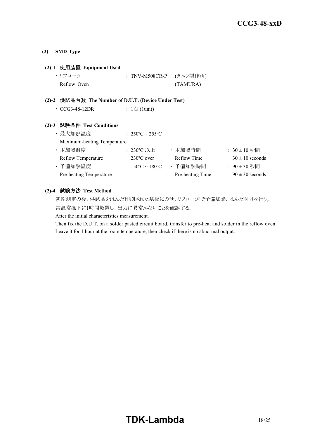### **(2) SMD Type**

### **(2)-1** 使用装置 **Equipment Used**

| ・リフロー炉      | : TNV-M508CR-P (タムラ製作所) |
|-------------|-------------------------|
| Reflow Oven | (TAMURA)                |

### **(2)-2** 供試品台数 **The Number of D.U.T. (Device Under Test)**

| $\cdot$ CCG3-48-12DR | : 1台 (1unit) |
|----------------------|--------------|
|----------------------|--------------|

### **(2)-3** 試験条件 **Test Conditions**

| ・最大加熱温度                     | : $250^{\circ}$ C ~ $255^{\circ}$ C |                  |                     |
|-----------------------------|-------------------------------------|------------------|---------------------|
| Maximum-heating Temperature |                                     |                  |                     |
| ・本加熱温度                      | :230°C 以上                           | ・本加熱時間           | : $30 \pm 10$ 秒間    |
| <b>Reflow Temperature</b>   | $230^{\circ}$ C over                | Reflow Time      | $30 \pm 10$ seconds |
| ・予備加熱温度                     | : $150^{\circ}$ C ~ $180^{\circ}$ C | ・予備加熱時間          | : 90±30 秒間          |
| Pre-heating Temperature     |                                     | Pre-heating Time | $90 \pm 30$ seconds |

### **(2)-4** 試験方法 **Test Method**

初期測定の後、供試品をはんだ印刷された基板にのせ、リフロー炉で予備加熱、はんだ付けを行う。 常温常湿下に1時間放置し、出力に異常がないことを確認する。

After the initial characteristics measurement.

Then fix the D.U.T. on a solder pasted circuit board, transfer to pre-heat and solder in the reflow oven. Leave it for 1 hour at the room temperature, then check if there is no abnormal output.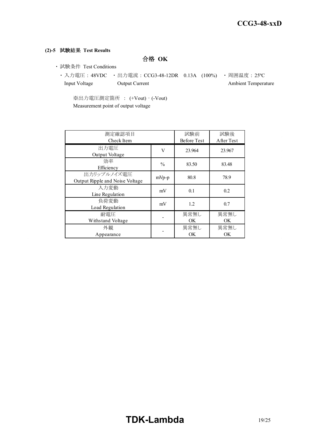### **(2)-5** 試験結果 **Test Results**

合格 **OK**

- ・ 試験条件 Test Conditions
	- ・ 入力電圧 : 48VDC ・ 出力電流 : CCG3-48-12DR 0.13A (100%) ・ 周囲温度 : 25ºC Input Voltage Output Current Ambient Temperature

※出力電圧測定箇所 : (+Vout) – (-Vout) Measurement point of output voltage

| 測定確認項目<br>Check Item                           |               | 試験前<br><b>Before Test</b> | 試験後<br>After Test |
|------------------------------------------------|---------------|---------------------------|-------------------|
| 出力電圧<br>Output Voltage                         | V             | 23.964                    | 23.967            |
| 効率<br>Efficiency                               | $\frac{0}{0}$ | 83.50                     | 83.48             |
| 出力リップルノイズ電圧<br>Output Ripple and Noise Voltage | $mVp-p$       | 80.8                      | 78.9              |
| 入力変動<br>Line Regulation                        | mV            | 0.1                       | 0.2               |
| 負荷変動<br>Load Regulation                        | mV            | 1.2                       | 0.7               |
| 耐雷圧<br>Withstand Voltage                       |               | 異常無し<br>OK                | 異常無し<br>OK        |
| 外観<br>Appearance                               |               | 異常無し<br>OK                | 異常無し<br><b>OK</b> |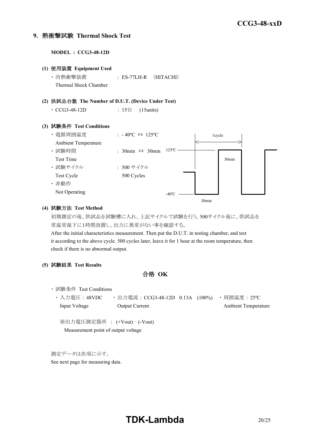### **9.** 熱衝撃試験 **Thermal Shock Test**

**MODEL : CCG3-48-12D**

**(1)** 使用装置 **Equipment Used** ・ 冷熱衝撃装置 : ES-77LH-R (HITACHI) Thermal Shock Chamber **(2)** 供試品台数 **The Number of D.U.T. (Device Under Test)** • CCG3-48-12D : 15台 (15units) **(3)** 試験条件 **Test Conditions** ・ 電源周囲温度 : - 40ºC ⇔ 125ºC Ambient Temperature ・ 試験時間 : 30min ⇔ 30min Test Time ・ 試験サイクル : 500 サイクル Test Cycle 500 Cycles ・ 非動作 Not Operating 1cycle 30min  $-40^{\circ}$ C  $-$ 125ºC

### **(4)** 試験方法 **Test Method**

初期測定の後、供試品を試験槽に入れ、上記サイクルで試験を行う。500サイクル後に、供試品を 常温常湿下に1時間放置し、出力に異常がない事を確認する。

30min

After the initial characteristics measurement. Then put the D.U.T. in testing chamber, and test it according to the above cycle. 500 cycles later, leave it for 1 hour at the room temperature, then check if there is no abnormal output.

**(5)** 試験結果 **Test Results**

合格 **OK**

・ 試験条件 Test Conditions

・ 入力電圧 : 48VDC ・ 出力電流 : CCG3-48-12D 0.13A (100%) ・ 周囲温度 : 25ºC Input Voltage Output Current Ambient Temperature

※出力電圧測定箇所 : (+Vout) – (-Vout) Measurement point of output voltage

測定データは次項に示す。

See next page for measuring data.

# **TDK-Lambda** 20/25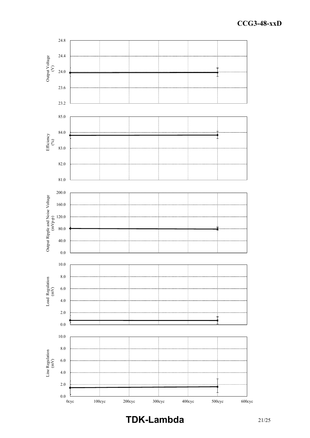

**TDK-Lambda** 21/25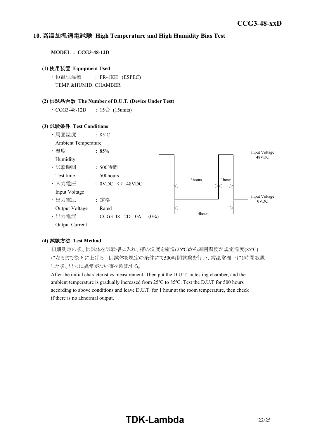#### *INSTRUCTION MANUAL* **10.** 高温加湿通電試験 **High Temperature and High Humidity Bias Test**

**MODEL : CCG3-48-12D**

### **(1)** 使用装置 **Equipment Used**

・ 恒温恒湿槽 : PR-1KH (ESPEC) TEMP.&HUMID. CHAMBER

### **(2)** 供試品台数 **The Number of D.U.T. (Device Under Test)**

• CCG3-48-12D : 15台 (15units)

#### **(3)** 試験条件 **Test Conditions**



### **(4)** 試験方法 **Test Method**

初期測定の後、供試体を試験槽に入れ、槽の温度を室温(25ºC)から周囲温度が規定温度(85ºC) になるまで徐々に上げる。 供試体を規定の条件にて500時間試験を行い、常温常湿下に1時間放置 した後、出力に異常がない事を確認する。

After the initial characteristics measurement. Then put the D.U.T. in testing chamber, and the ambient temperature is gradually increased from 25ºC to 85ºC. Test the D.U.T for 500 hours according to above conditions and leave D.U.T. for 1 hour at the room temperature, then check if there is no abnormal output.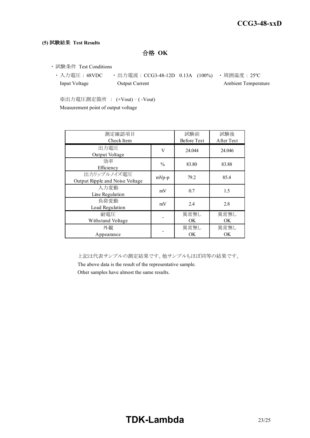### **(5)** 試験結果 **Test Results**

合格 **OK**

- ・ 試験条件 Test Conditions
	- 入力電圧 : 48VDC 出力電流 : CCG3-48-12D 0.13A (100%) 周囲温度 : 25℃ Input Voltage **Output Current** Current Ambient Temperature

※出力電圧測定箇所 : (+Vout) – ( -Vout) Measurement point of output voltage

| 測定確認項目<br>Check Item                           |               |                   | 試験後<br>After Test |
|------------------------------------------------|---------------|-------------------|-------------------|
| 出力電圧<br>Output Voltage                         | V             | 24.044            | 24.046            |
| 効率<br>Efficiency                               | $\frac{0}{0}$ | 83.80             | 83.88             |
| 出力リップルノイズ電圧<br>Output Ripple and Noise Voltage | $mVp-p$       | 79.2              | 85.4              |
| 入力変動<br>Line Regulation                        | mV            | 0.7               | 1.5               |
| 負荷変動<br>Load Regulation                        | mV            | 2.4               | 2.8               |
| 耐電圧<br>Withstand Voltage                       |               | 異常無し<br><b>OK</b> | 異常無し<br>OK        |
| 外観<br>Appearance                               |               | 異常無し<br><b>OK</b> | 異常無し<br>OK        |

上記は代表サンプルの測定結果です。他サンプルもほぼ同等の結果です。

The above data is the result of the representative sample.

Other samples have almost the same results.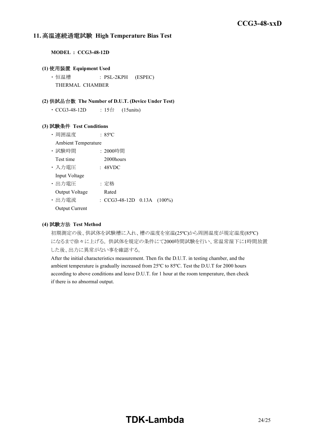### **11.** 高温連続通電試験 **High Temperature Bias Test**

**MODEL : CCG3-48-12D**

### **(1)** 使用装置 **Equipment Used**

・ 恒温槽 : PSL-2KPH (ESPEC) THERMAL CHAMBER

### **(2)** 供試品台数 **The Number of D.U.T. (Device Under Test)**

• CCG3-48-12D : 15台 (15units)

### **(3)** 試験条件 **Test Conditions**

- ・ 周囲温度 : 85ºC
- Ambient Temperature
- ・ 試験時間 : 2000時間
- Test time 2000 hours
- ・ 入力電圧 : 48VDC Input Voltage

・ 出力電圧 : 定格

- Output Voltage Rated
- ・ 出力電流 : CCG3-48-12D 0.13A (100%)
- Output Current

### **(4)** 試験方法 **Test Method**

初期測定の後、供試体を試験槽に入れ、槽の温度を室温(25ºC)から周囲温度が規定温度(85ºC) になるまで徐々に上げる。 供試体を規定の条件にて2000時間試験を行い、常温常湿下に1時間放置 した後、出力に異常がない事を確認する。

After the initial characteristics measurement. Then fix the D.U.T. in testing chamber, and the ambient temperature is gradually increased from 25ºC to 85ºC. Test the D.U.T for 2000 hours according to above conditions and leave D.U.T. for 1 hour at the room temperature, then check if there is no abnormal output.